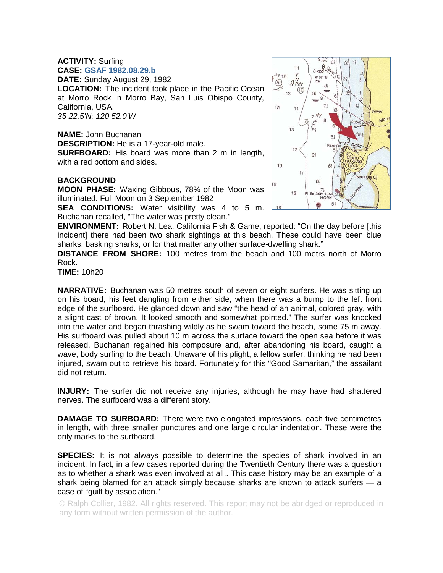## **ACTIVITY:** Surfing **CASE: GSAF 1982.08.29.b**

**DATE:** Sunday August 29, 1982 **LOCATION:** The incident took place in the Pacific Ocean at Morro Rock in Morro Bay, San Luis Obispo County, California, USA. *35 22.5'N; 120 52.0'W* 

**NAME:** John Buchanan **DESCRIPTION:** He is a 17-year-old male. **SURFBOARD:** His board was more than 2 m in length, with a red bottom and sides.

## **BACKGROUND**

**MOON PHASE:** Waxing Gibbous, 78% of the Moon was illuminated. Full Moon on 3 September 1982

**SEA CONDITIONS:** Water visibility was 4 to 5 m. Buchanan recalled, "The water was pretty clean."



**DISTANCE FROM SHORE:** 100 metres from the beach and 100 metrs north of Morro Rock.

**TIME:** 10h20

**NARRATIVE:** Buchanan was 50 metres south of seven or eight surfers. He was sitting up on his board, his feet dangling from either side, when there was a bump to the left front edge of the surfboard. He glanced down and saw "the head of an animal, colored gray, with a slight cast of brown. It looked smooth and somewhat pointed." The surfer was knocked into the water and began thrashing wildly as he swam toward the beach, some 75 m away. His surfboard was pulled about 10 m across the surface toward the open sea before it was released. Buchanan regained his composure and, after abandoning his board, caught a wave, body surfing to the beach. Unaware of his plight, a fellow surfer, thinking he had been injured, swam out to retrieve his board. Fortunately for this "Good Samaritan," the assailant did not return.

**INJURY:** The surfer did not receive any injuries, although he may have had shattered nerves. The surfboard was a different story.

**DAMAGE TO SURBOARD:** There were two elongated impressions, each five centimetres in length, with three smaller punctures and one large circular indentation. These were the only marks to the surfboard.

**SPECIES:** It is not always possible to determine the species of shark involved in an incident. In fact, in a few cases reported during the Twentieth Century there was a question as to whether a shark was even involved at all.. This case history may be an example of a shark being blamed for an attack simply because sharks are known to attack surfers — a case of "guilt by association."

© Ralph Collier, 1982. All rights reserved. This report may not be abridged or reproduced in any form without written permission of the author.